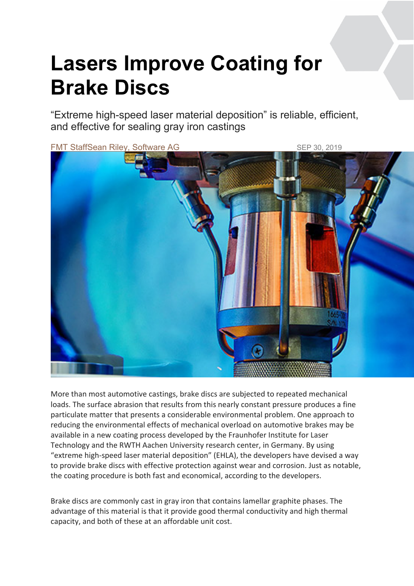## **Lasers Improve Coating for Brake Discs**

"Extreme high-speed laser material deposition" is reliable, efficient, and effective for sealing gray iron castings



More than most automotive castings, brake discs are subjected to repeated mechanical loads. The surface abrasion that results from this nearly constant pressure produces a fine particulate matter that presents a considerable environmental problem. One approach to reducing the environmental effects of mechanical overload on automotive brakes may be available in a new coating process developed by the Fraunhofer Institute for Laser Technology and the RWTH Aachen University research center, in Germany. By using "extreme high-speed laser material deposition" (EHLA), the developers have devised a way to provide brake discs with effective protection against wear and corrosion. Just as notable, the coating procedure is both fast and economical, according to the developers.

Brake discs are commonly cast in gray iron that contains lamellar graphite phases. The advantage of this material is that it provide good thermal conductivity and high thermal capacity, and both of these at an affordable unit cost.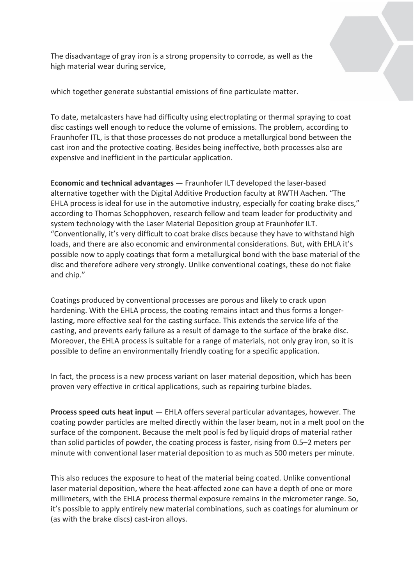The disadvantage of gray iron is a strong propensity to corrode, as well as the high material wear during service,

which together generate substantial emissions of fine particulate matter.

To date, metalcasters have had difficulty using electroplating or thermal spraying to coat disc castings well enough to reduce the volume of emissions. The problem, according to Fraunhofer ITL, is that those processes do not produce a metallurgical bond between the cast iron and the protective coating. Besides being ineffective, both processes also are expensive and inefficient in the particular application.

**Economic and technical advantages —** Fraunhofer ILT developed the laser-based alternative together with the Digital Additive Production faculty at RWTH Aachen. "The EHLA process is ideal for use in the automotive industry, especially for coating brake discs," according to Thomas Schopphoven, research fellow and team leader for productivity and system technology with the Laser Material Deposition group at Fraunhofer ILT. "Conventionally, it's very difficult to coat brake discs because they have to withstand high loads, and there are also economic and environmental considerations. But, with EHLA it's possible now to apply coatings that form a metallurgical bond with the base material of the disc and therefore adhere very strongly. Unlike conventional coatings, these do not flake and chip."

Coatings produced by conventional processes are porous and likely to crack upon hardening. With the EHLA process, the coating remains intact and thus forms a longerlasting, more effective seal for the casting surface. This extends the service life of the casting, and prevents early failure as a result of damage to the surface of the brake disc. Moreover, the EHLA process is suitable for a range of materials, not only gray iron, so it is possible to define an environmentally friendly coating for a specific application.

In fact, the process is a new process variant on laser material deposition, which has been proven very effective in critical applications, such as repairing turbine blades.

**Process speed cuts heat input —** EHLA offers several particular advantages, however. The coating powder particles are melted directly within the laser beam, not in a melt pool on the surface of the component. Because the melt pool is fed by liquid drops of material rather than solid particles of powder, the coating process is faster, rising from 0.5–2 meters per minute with conventional laser material deposition to as much as 500 meters per minute.

This also reduces the exposure to heat of the material being coated. Unlike conventional laser material deposition, where the heat-affected zone can have a depth of one or more millimeters, with the EHLA process thermal exposure remains in the micrometer range. So, it's possible to apply entirely new material combinations, such as coatings for aluminum or (as with the brake discs) cast-iron alloys.